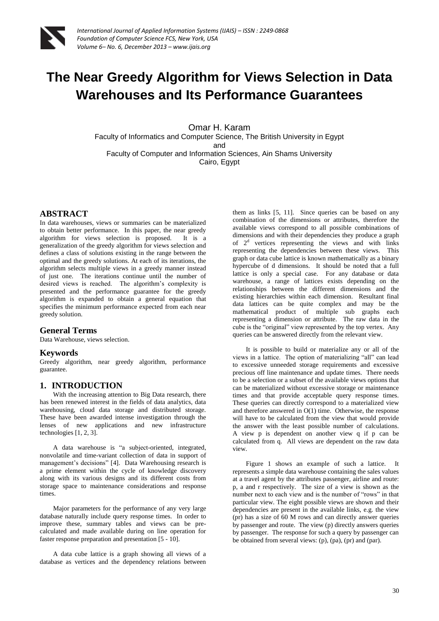

# **The Near Greedy Algorithm for Views Selection in Data Warehouses and Its Performance Guarantees**

Omar H. Karam

Faculty of Informatics and Computer Science, The British University in Egypt and Faculty of Computer and Information Sciences, Ain Shams University

Cairo, Egypt

## **ABSTRACT**

In data warehouses, views or summaries can be materialized to obtain better performance. In this paper, the near greedy algorithm for views selection is proposed. It is a generalization of the greedy algorithm for views selection and defines a class of solutions existing in the range between the optimal and the greedy solutions. At each of its iterations, the algorithm selects multiple views in a greedy manner instead of just one. The iterations continue until the number of desired views is reached. The algorithm's complexity is presented and the performance guarantee for the greedy algorithm is expanded to obtain a general equation that specifies the minimum performance expected from each near greedy solution.

## **General Terms**

Data Warehouse, views selection.

## **Keywords**

Greedy algorithm, near greedy algorithm, performance guarantee.

## **1. INTRODUCTION**

With the increasing attention to Big Data research, there has been renewed interest in the fields of data analytics, data warehousing, cloud data storage and distributed storage. These have been awarded intense investigation through the lenses of new applications and new infrastructure technologies [1, 2, 3].

A data warehouse is "a subject-oriented, integrated, nonvolatile and time-variant collection of data in support of management's decisions" [4]. Data Warehousing research is a prime element within the cycle of knowledge discovery along with its various designs and its different costs from storage space to maintenance considerations and response times.

Major parameters for the performance of any very large database naturally include query response times. In order to improve these, summary tables and views can be precalculated and made available during on line operation for faster response preparation and presentation [5 - 10].

A data cube lattice is a graph showing all views of a database as vertices and the dependency relations between

them as links [5, 11]. Since queries can be based on any combination of the dimensions or attributes, therefore the available views correspond to all possible combinations of dimensions and with their dependencies they produce a graph of  $2<sup>d</sup>$  vertices representing the views and with links representing the dependencies between these views. This graph or data cube lattice is known mathematically as a binary hypercube of d dimensions. It should be noted that a full lattice is only a special case. For any database or data warehouse, a range of lattices exists depending on the relationships between the different dimensions and the existing hierarchies within each dimension. Resultant final data lattices can be quite complex and may be the mathematical product of multiple sub graphs each representing a dimension or attribute. The raw data in the cube is the "original" view represented by the top vertex. Any queries can be answered directly from the relevant view.

It is possible to build or materialize any or all of the views in a lattice. The option of materializing "all" can lead to excessive unneeded storage requirements and excessive precious off line maintenance and update times. There needs to be a selection or a subset of the available views options that can be materialized without excessive storage or maintenance times and that provide acceptable query response times. These queries can directly correspond to a materialized view and therefore answered in O(1) time. Otherwise, the response will have to be calculated from the view that would provide the answer with the least possible number of calculations. A view p is dependent on another view q if p can be calculated from q. All views are dependent on the raw data view.

Figure 1 shows an example of such a lattice. It represents a simple data warehouse containing the sales values at a travel agent by the attributes passenger, airline and route: p, a and r respectively. The size of a view is shown as the number next to each view and is the number of "rows" in that particular view. The eight possible views are shown and their dependencies are present in the available links, e.g. the view (pr) has a size of 60 M rows and can directly answer queries by passenger and route. The view (p) directly answers queries by passenger. The response for such a query by passenger can be obtained from several views: (p), (pa), (pr) and (par).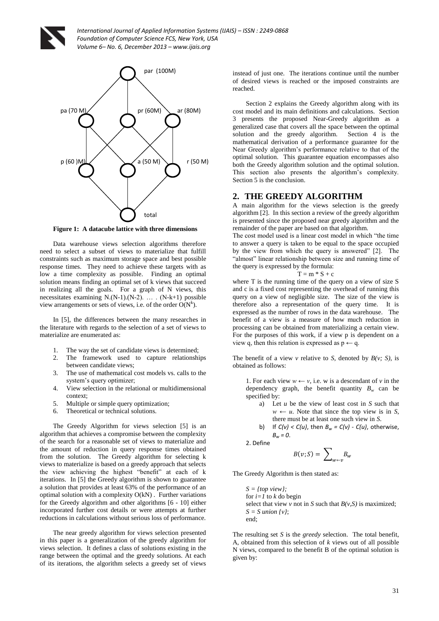

*International Journal of Applied Information Systems (IJAIS) – ISSN : 2249-0868 Foundation of Computer Science FCS, New York, USA Volume 6– No. 6, December 2013 – www.ijais.org*



**Figure 1: A datacube lattice with three dimensions** 

Data warehouse views selection algorithms therefore need to select a subset of views to materialize that fulfill constraints such as maximum storage space and best possible response times. They need to achieve these targets with as low a time complexity as possible. Finding an optimal solution means finding an optimal set of k views that succeed in realizing all the goals. For a graph of N views, this necessitates examining N.(N-1).(N-2). … . (N-k+1) possible view arrangements or sets of views, i.e. of the order  $O(N^k)$ .

In [5], the differences between the many researches in the literature with regards to the selection of a set of views to materialize are enumerated as:

- 1. The way the set of candidate views is determined;
- 2. The framework used to capture relationships between candidate views;
- 3. The use of mathematical cost models vs. calls to the system's query optimizer;
- 4. View selection in the relational or multidimensional context;
- 5. Multiple or simple query optimization;
- 6. Theoretical or technical solutions.

The Greedy Algorithm for views selection [5] is an algorithm that achieves a compromise between the complexity of the search for a reasonable set of views to materialize and the amount of reduction in query response times obtained from the solution. The Greedy algorithm for selecting k views to materialize is based on a greedy approach that selects the view achieving the highest "benefit" at each of k iterations. In [5] the Greedy algorithm is shown to guarantee a solution that provides at least 63% of the performance of an optimal solution with a complexity O(kN) . Further variations for the Greedy algorithm and other algorithms [6 - 10] either incorporated further cost details or were attempts at further reductions in calculations without serious loss of performance.

The near greedy algorithm for views selection presented in this paper is a generalization of the greedy algorithm for views selection. It defines a class of solutions existing in the range between the optimal and the greedy solutions. At each of its iterations, the algorithm selects a greedy set of views

instead of just one. The iterations continue until the number of desired views is reached or the imposed constraints are reached.

Section 2 explains the Greedy algorithm along with its cost model and its main definitions and calculations. Section 3 presents the proposed Near-Greedy algorithm as a generalized case that covers all the space between the optimal solution and the greedy algorithm. Section 4 is the mathematical derivation of a performance guarantee for the Near Greedy algorithm's performance relative to that of the optimal solution. This guarantee equation encompasses also both the Greedy algorithm solution and the optimal solution. This section also presents the algorithm's complexity. Section 5 is the conclusion.

#### **2. THE GREEDY ALGORITHM**

A main algorithm for the views selection is the greedy algorithm [2]. In this section a review of the greedy algorithm is presented since the proposed near greedy algorithm and the remainder of the paper are based on that algorithm.

The cost model used is a linear cost model in which "the time to answer a query is taken to be equal to the space occupied by the view from which the query is answered" [2]. The "almost" linear relationship between size and running time of the query is expressed by the formula:

$$
T = m * S + c
$$

where T is the running time of the query on a view of size S and c is a fixed cost representing the overhead of running this query on a view of negligible size. The size of the view is therefore also a representation of the query time. It is expressed as the number of rows in the data warehouse. The benefit of a view is a measure of how much reduction in processing can be obtained from materializing a certain view. For the purposes of this work, if a view p is dependent on a view q, then this relation is expressed as  $p \leftarrow q$ .

The benefit of a view  $\nu$  relative to *S*, denoted by  $B(\nu; S)$ , is obtained as follows:

1. For each view  $w \leftarrow v$ , i.e. w is a descendant of  $v$  in the dependency graph, the benefit quantity  $B_w$  can be specified by:

- a) Let *u* be the view of least cost in *S* such that  $w \leftarrow u$ . Note that since the top view is in *S*, there must be at least one such view in *S*.
- b) If  $C(v) < C(u)$ , then  $B_w = C(v)$   $C(u)$ , otherwise, *B<sup>w</sup> = 0*.

2. Define

$$
B(v;S) = \sum\nolimits_{w \leftarrow v} B_w
$$

The Greedy Algorithm is then stated as:

*S = {top view};* for  $i=1$  to  $k$  do begin select that view  $\nu$  not in *S* such that  $B(\nu, S)$  is maximized;  $S = S$  *union*  $\{v\}$ ; end;

The resulting set *S* is the *greedy* selection. The total benefit, A, obtained from this selection of *k* views out of all possible N views, compared to the benefit B of the optimal solution is given by: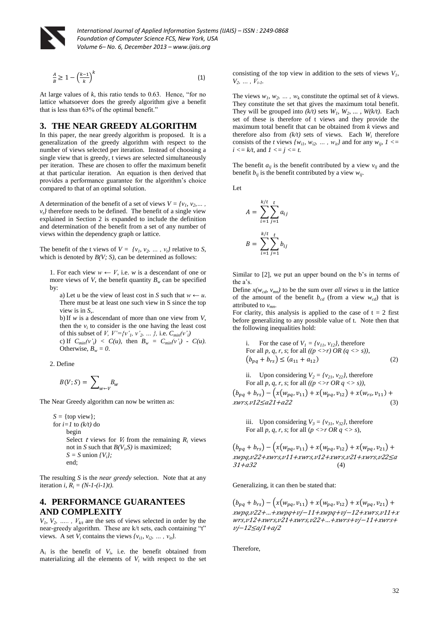

*International Journal of Applied Information Systems (IJAIS) – ISSN : 2249-0868 Foundation of Computer Science FCS, New York, USA Volume 6– No. 6, December 2013 – www.ijais.org*

$$
\frac{A}{B} \ge 1 - \left(\frac{k-1}{k}\right)^k \tag{1}
$$

At large values of *k*, this ratio tends to 0.63. Hence, "for no lattice whatsoever does the greedy algorithm give a benefit that is less than 63% of the optimal benefit."

#### **3. THE NEAR GREEDY ALGORITHM**

In this paper, the near greedy algorithm is proposed. It is a generalization of the greedy algorithm with respect to the number of views selected per iteration. Instead of choosing a single view that is greedy, t views are selected simultaneously per iteration. These are chosen to offer the maximum benefit at that particular iteration. An equation is then derived that provides a performance guarantee for the algorithm's choice compared to that of an optimal solution.

A determination of the benefit of a set of views  $V = \{v_1, v_2, \dots, v_n\}$  $v_t$ <sup>*t*</sup> therefore needs to be defined. The benefit of a single view explained in Section 2 is expanded to include the definition and determination of the benefit from a set of any number of views within the dependency graph or lattice.

The benefit of the t views of  $V = \{v_1, v_2, \dots, v_t\}$  relative to *S*, which is denoted by *B(V; S)*, can be determined as follows:

1. For each view  $w \leftarrow V$ , i.e. *w* is a descendant of one or more views of *V*, the benefit quantity  $B_w$  can be specified by:

a) Let u be the view of least cost in *S* such that  $w \leftarrow u$ . There must be at least one such view in S since the top view is in *S*,.

b)If *w* is a descendant of more than one view from *V*, then the  $v_i$  to consider is the one having the least cost of this subset of *V*,  $V' = \{v'_1, v'_2, ..., \}$ , i.e.  $C_{min}(v'_i)$ c) If  $C_{min}(v'_i) < C(u)$ , then  $B_w = C_{min}(v'_i) - C(u)$ . Otherwise,  $B_w = 0$ .

2. Define

$$
B(V;S) = \sum\nolimits_{w \leftarrow V} B_w
$$

The Near Greedy algorithm can now be written as:

 $S = \{top \$ for  $i=1$  to  $(k/t)$  do begin Select *t* views for  $V_i$  from the remaining  $R_i$  views not in *S* such that  $B(V_i, S)$  is maximized;  $S = S$  union  $\{V_i\}$ ; end;

The resulting *S* is the *near greedy* selection. Note that at any iteration *i,*  $R_i = (N-1-(i-1)t)$ .

## **4. PERFORMANCE GUARANTEES AND COMPLEXITY**

 $V_1, V_2, \ldots, V_{k/t}$  are the sets of views selected in order by the near-greedy algorithm. These are k/t sets, each containing "t" views. A set  $V_i$  contains the views  $\{v_{i1}, v_{i2}, \ldots, v_{it}\}$ .

 $A_i$  is the benefit of  $V_i$ , i.e. the benefit obtained from materializing all the elements of  $V_i$  with respect to the set

consisting of the top view in addition to the sets of views  $V<sub>1</sub>$ ,  $V_2, \ldots, V_{i-1}$ 

The views  $w_1, w_2, \ldots, w_k$  constitute the optimal set of *k* views. They constitute the set that gives the maximum total benefit. They will be grouped into  $(k/t)$  sets  $W_1$ ,  $W_2$ , ...,  $W(k/t)$ . Each set of these is therefore of t views and they provide the maximum total benefit that can be obtained from *k* views and therefore also from  $(k/t)$  sets of views. Each  $W_i$  therefore consists of the *t* views  $\{w_{i1}, w_{i2}, \ldots, w_{it}\}$  and for any  $w_{ii}$ ,  $1 \leq$  $i \leq k/t$ , and  $1 \leq j \leq t$ .

The benefit  $a_{ij}$  is the benefit contributed by a view  $v_{ij}$  and the benefit  $b_{ii}$  is the benefit contributed by a view  $w_{ii}$ .

Let

$$
A = \sum_{i=1}^{k/t} \sum_{j=1}^{t} a_{ij}
$$

$$
B = \sum_{i=1}^{k/t} \sum_{j=1}^{t} b_{ij}
$$

Similar to [2], we put an upper bound on the b's in terms of the a's.

Define  $x(w_{cd}, v_{mn})$  to be the sum over *all views* u in the lattice of the amount of the benefit  $b_{cd}$  (from a view  $w_{cd}$ ) that is attributed to *vmn*.

For clarity, this analysis is applied to the case of  $t = 2$  first before generalizing to any possible value of t. Note then that the following inequalities hold:

i. For the case of 
$$
V_1 = \{v_{11}, v_{12}\}
$$
, therefore  
For all *p*, *q*, *r*, *s*; for all  $(p \le r)$  OR  $(q \le s)$ ,  
 $(b_{pq} + b_{rs}) \le (a_{11} + a_{12})$  (2)

ii. Upon considering  $V_2 = \{v_{21}, v_{22}\}\$ , therefore For all *p, q, r, s*; for all *((p <>r OR q <> s)),*

$$
(b_{pq} + b_{rs}) - (x(w_{pq}, v_{11}) + x(w_{pq}, v_{12}) + x(w_{rs}, v_{11}) +
$$
  
*xwrs*, *v*12 ≤ *a*21 + *a*22 (3)

iii. Upon considering  $V_3 = \{v_{31}, v_{32}\}\$ , therefore For all *p*, *q*, *r*, *s*; for all ( $p \leq r$  OR  $q \leq s$ ),

 $(b_{pq} + b_{rs}) - (x(w_{pq}, v_{11}) + x(w_{pq}, v_{12}) + x(w_{pq}, v_{21}) +$  $xwpq$ ,  $v22+ xwrs$ ,  $v11+ xwrs$ ,  $v12+ xwrs$ ,  $v21+ xwrs$ ,  $v22 \le a$  $31 + a32$  (4)

Generalizing, it can then be stated that:

 $(b_{pq} + b_{rs}) - (x(w_{pq}, v_{11}) + x(w_{pq}, v_{12}) + x(w_{pq}, v_{21}) +$  $xwpq, v22 + ... + xwpq + vj - 11 + xwpq + vj - 12 + xwrs, v11 + x$  $wrs$ ,  $v12+ xwrs$ ,  $v21+ xwrs$ ,  $v22+...+ xwrs+ vj-11+ xwrs+$  $vj - 12 \leq aj1 + aj2$ 

Therefore,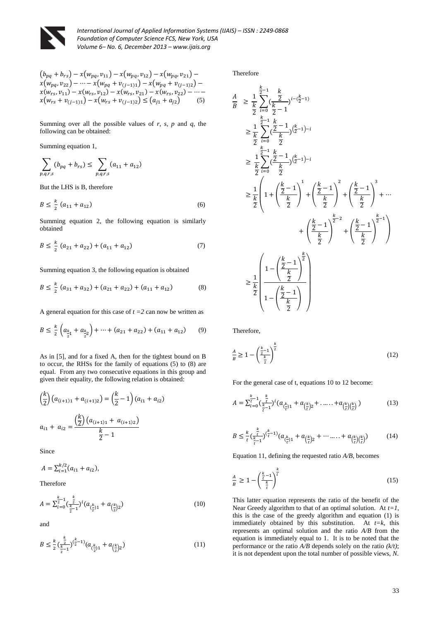

*International Journal of Applied Information Systems (IJAIS) – ISSN : 2249-0868 Foundation of Computer Science FCS, New York, USA Volume 6– No. 6, December 2013 – www.ijais.org*

$$
(b_{pq} + b_{rs}) - x(w_{pq}, v_{11}) - x(w_{pq}, v_{12}) - x(w_{pq}, v_{21}) -x(w_{pq}, v_{22}) - \dots - x(w_{pq} + v_{(j-1)1}) - x(w_{pq} + v_{(j-1)2}) -x(w_{rs}, v_{11}) - x(w_{rs}, v_{12}) - x(w_{rs}, v_{21}) - x(w_{rs}, v_{22}) - \dots -x(w_{rs} + v_{(j-1)1}) - x(w_{rs} + v_{(j-1)2}) \le (a_{j1} + a_{j2})
$$
 (5)

Summing over all the possible values of *r, s, p* and *q*, the following can be obtained:

Summing equation 1,

$$
\sum_{p,q,r,s} (b_{pq} + b_{rs}) \le \sum_{p,q,r,s} (a_{11} + a_{12})
$$

But the LHS is B, therefore

$$
B \le \frac{k}{2} \left( a_{11} + a_{12} \right) \tag{6}
$$

Summing equation 2, the following equation is similarly obtained

$$
B \le \frac{k}{2} (a_{21} + a_{22}) + (a_{11} + a_{12}) \tag{7}
$$

Summing equation 3, the following equation is obtained

$$
B \le \frac{k}{2} (a_{31} + a_{32}) + (a_{21} + a_{22}) + (a_{11} + a_{12})
$$
 (8)

A general equation for this case of  $t = 2$  can now be written as

$$
B \le \frac{k}{2} \left( a_{\frac{k}{2}+} + a_{\frac{k}{2}+} \right) + \dots + (a_{21} + a_{22}) + (a_{11} + a_{12}) \tag{9}
$$

As in [5], and for a fixed A, then for the tightest bound on B to occur, the RHSs for the family of equations (5) to (8) are equal. From any two consecutive equations in this group and given their equality, the following relation is obtained:

$$
\left(\frac{k}{2}\right)\left(a_{(i+1)1} + a_{(i+1)2}\right) = \left(\frac{k}{2} - 1\right)\left(a_{i1} + a_{i2}\right)
$$
\n
$$
a_{i1} + a_{i2} = \frac{\left(\frac{k}{2}\right)\left(a_{(i+1)1} + a_{(i+1)2}\right)}{\frac{k}{2} - 1}
$$

Since

$$
A = \sum_{i=1}^{k/2} (a_{i1} + a_{i2}),
$$

Therefore

$$
A = \sum_{i=0}^{\frac{k}{2}-1} \left(\frac{\frac{k}{2}}{\frac{k}{2}-1}\right)^i \left(a_{\left(\frac{k}{2}\right)1} + a_{\left(\frac{k}{2}\right)2}\right) \tag{10}
$$

and

$$
B \le \frac{k}{2} \left( \frac{\frac{k}{2}}{\frac{k}{2} - 1} \right)^{\left( \frac{k}{2} - 1 \right)} (a_{\left( \frac{k}{2} \right) 1} + a_{\left( \frac{k}{2} \right) 2}) \tag{11}
$$

Therefore

 $\boldsymbol{A}$  $\overline{B}$ 

$$
\geq \frac{1}{k} \sum_{i=0}^{k} \frac{k}{2} \left( \frac{\frac{1}{2}}{k} \right)^{i - \frac{k}{2} - 1}
$$
\n
$$
\geq \frac{1}{k} \sum_{i=0}^{k} \frac{\frac{1}{2} - 1}{2} \left( \frac{\frac{1}{2} - 1}{k} \right)^{\frac{k}{2} - 1} \cdot \frac{k}{2} \frac{\frac{1}{2} - 1}{2} \left( \frac{\frac{1}{2} - 1}{k} \right)^{\frac{k}{2} - 1} \cdot \frac{k}{2} \frac{\frac{1}{2} - 1}{2} \left( \frac{\frac{1}{2} - 1}{2} \right)^{\frac{k}{2} - 1} \cdot \frac{k}{2} \frac{\frac{1}{2} - 1}{2} \left( 1 + \left( \frac{\frac{k}{2} - 1}{\frac{k}{2}} \right)^{1} + \left( \frac{\frac{k}{2} - 1}{\frac{k}{2}} \right)^{2} + \left( \frac{\frac{k}{2} - 1}{\frac{k}{2}} \right)^{3} + \dots + \left( \frac{\frac{k}{2} - 1}{\frac{k}{2}} \right)^{\frac{k}{2} - 2} + \left( \frac{\frac{k}{2} - 1}{\frac{k}{2}} \right)^{\frac{k}{2} - 1} \frac{\frac{k}{2} - 1}{2} \frac{\frac{1}{2} - 1}{2} \frac{\frac{1}{2} - 1} \cdot \frac{\frac{k}{2} - 1}{2} \frac{\frac{1}{2} - 1}{2} \frac{\frac{1}{2} - 1} \cdot \frac{\frac{k}{2} - 1}{2} \frac{\frac{1}{2} - 1}{2} \frac{\frac{1}{2} - 1} \cdot \frac{\frac{k}{2} - 1}{2} \frac{\frac{1}{2} - 1}{2} \frac{\frac{1}{2} - 1}{2} \frac{\frac{1}{2} - 1}{2} \frac{\frac{1}{2} - 1}{2} \frac{\frac{1}{2} - 1}{2} \frac{\frac{1}{2} - 1}{2} \frac{\frac{1}{2} - 1}{2} \frac{\frac{1}{2} - 1}{2} \frac{\frac{1}{2} - 1}{2} \frac{\frac{1}{2} - 1}{2} \frac{\frac{1}{2} - 1}{2} \frac{\frac{1}{2} - 1}{2} \frac{\frac{1}{2} -
$$

Therefore,

$$
\frac{A}{B} \ge 1 - \left(\frac{\frac{k}{2}-1}{\frac{k}{2}}\right)^{\frac{k}{2}}\tag{12}
$$

For the general case of t, equations 10 to 12 become:

$$
A = \sum_{i=0}^{\frac{k}{t}-1} \left( \frac{\frac{k}{t}}{\frac{k}{t-1}} \right)^i \left( a_{\left( \frac{k}{t} \right)1} + a_{\left( \frac{k}{t} \right)2} + \dots + a_{\left( \frac{k}{t} \right) \left( \frac{k}{t} \right)} \right)
$$
(13)

$$
B \leq \frac{k}{t} \left( \frac{\frac{k}{t}}{\frac{k}{t} - 1} \right)^{\left( \frac{k}{t} - 1 \right)} (a_{\left( \frac{k}{t} \right)1} + a_{\left( \frac{k}{t} \right)2} + \dots + a_{\left( \frac{k}{t} \right) \left( \frac{k}{t} \right)} ) \tag{14}
$$

Equation 11, defining the requested ratio *A/B*, becomes

$$
\frac{A}{B} \ge 1 - \left(\frac{\frac{k}{t} - 1}{\frac{k}{t}}\right)^{\frac{k}{t}}
$$
\n(15)

This latter equation represents the ratio of the benefit of the Near Greedy algorithm to that of an optimal solution. At *t=1*, this is the case of the greedy algorithm and equation (1) is immediately obtained by this substitution. At *t=k*, this represents an optimal solution and the ratio *A/B* from the equation is immediately equal to 1. It is to be noted that the performance or the ratio *A/B* depends solely on the ratio *(k/t)*; it is not dependent upon the total number of possible views, *N*.